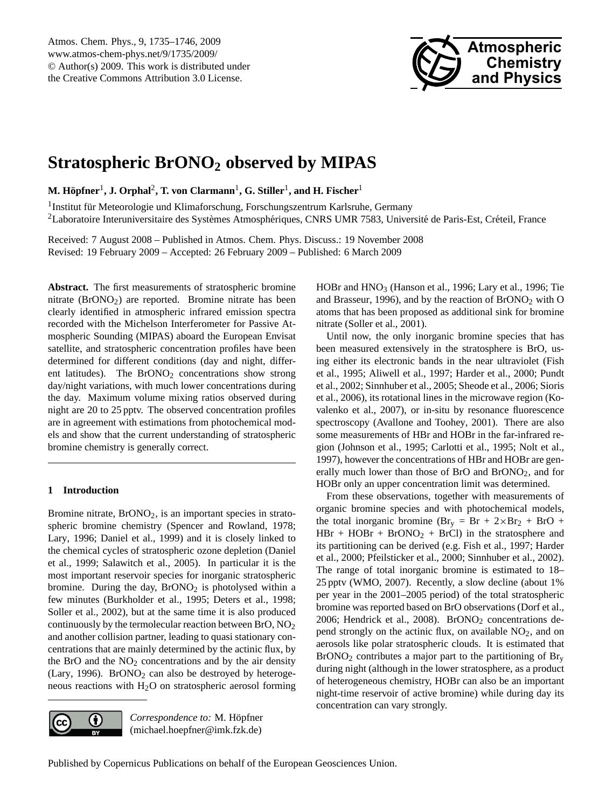

# <span id="page-0-0"></span>**Stratospheric BrONO<sup>2</sup> observed by MIPAS**

 ${\bf M.\ H\ddot{o}pfner^1, J.\ Orphal^2, T.\ von Clarmann^1, G.\ Stiller^1, and H.\ Fischer^1}$ 

<sup>1</sup> Institut für Meteorologie und Klimaforschung, Forschungszentrum Karlsruhe, Germany <sup>2</sup>Laboratoire Interuniversitaire des Systèmes Atmosphériques, CNRS UMR 7583, Université de Paris-Est, Créteil, France

Received: 7 August 2008 – Published in Atmos. Chem. Phys. Discuss.: 19 November 2008 Revised: 19 February 2009 – Accepted: 26 February 2009 – Published: 6 March 2009

**Abstract.** The first measurements of stratospheric bromine nitrate (BrONO2) are reported. Bromine nitrate has been clearly identified in atmospheric infrared emission spectra recorded with the Michelson Interferometer for Passive Atmospheric Sounding (MIPAS) aboard the European Envisat satellite, and stratospheric concentration profiles have been determined for different conditions (day and night, different latitudes). The  $BrONO<sub>2</sub>$  concentrations show strong day/night variations, with much lower concentrations during the day. Maximum volume mixing ratios observed during night are 20 to 25 pptv. The observed concentration profiles are in agreement with estimations from photochemical models and show that the current understanding of stratospheric bromine chemistry is generally correct.

# **1 Introduction**

Bromine nitrate,  $BrONO<sub>2</sub>$ , is an important species in stratospheric bromine chemistry [\(Spencer and Rowland,](#page-11-0) [1978;](#page-11-0) [Lary,](#page-10-0) [1996;](#page-10-0) [Daniel et al.,](#page-10-1) [1999\)](#page-10-1) and it is closely linked to the chemical cycles of stratospheric ozone depletion [\(Daniel](#page-10-1) [et al.,](#page-10-1) [1999;](#page-10-1) [Salawitch et al.,](#page-11-1) [2005\)](#page-11-1). In particular it is the most important reservoir species for inorganic stratospheric bromine. During the day,  $BrONO<sub>2</sub>$  is photolysed within a few minutes [\(Burkholder et al.,](#page-9-0) [1995;](#page-9-0) [Deters et al.,](#page-10-2) [1998;](#page-10-2) [Soller et al.,](#page-11-2) [2002\)](#page-11-2), but at the same time it is also produced continuously by the termolecular reaction between BrO, NO<sup>2</sup> and another collision partner, leading to quasi stationary concentrations that are mainly determined by the actinic flux, by the BrO and the  $NO<sub>2</sub>$  concentrations and by the air density [\(Lary,](#page-10-0) [1996\)](#page-10-0). BrONO<sub>2</sub> can also be destroyed by heterogeneous reactions with  $H<sub>2</sub>O$  on stratospheric aerosol forming

 $\left( \cdot \right)$ (cc

*Correspondence to:* M. Hopfner ¨ (michael.hoepfner@imk.fzk.de)

HOBr and HNO<sub>3</sub> [\(Hanson et al.,](#page-10-3) [1996;](#page-10-4) [Lary et al.,](#page-10-4) 1996; [Tie](#page-11-3) [and Brasseur,](#page-11-3) [1996\)](#page-11-3), and by the reaction of  $\text{BrONO}_2$  with O atoms that has been proposed as additional sink for bromine nitrate [\(Soller et al.,](#page-11-4) [2001\)](#page-11-4).

Until now, the only inorganic bromine species that has been measured extensively in the stratosphere is BrO, using either its electronic bands in the near ultraviolet [\(Fish](#page-10-5) [et al.,](#page-10-5) [1995;](#page-10-5) [Aliwell et al.,](#page-9-1) [1997;](#page-9-1) [Harder et al.,](#page-10-6) [2000;](#page-10-6) [Pundt](#page-10-7) [et al.,](#page-10-7) [2002;](#page-10-7) [Sinnhuber et al.,](#page-11-5) [2005;](#page-11-5) [Sheode et al.,](#page-11-6) [2006;](#page-11-6) [Sioris](#page-11-7) [et al.,](#page-11-7) [2006\)](#page-11-7), its rotational lines in the microwave region [\(Ko](#page-10-8)[valenko et al.,](#page-10-8) [2007\)](#page-10-8), or in-situ by resonance fluorescence spectroscopy [\(Avallone and Toohey,](#page-9-2) [2001\)](#page-9-2). There are also some measurements of HBr and HOBr in the far-infrared region [\(Johnson et al.,](#page-10-9) [1995;](#page-10-9) [Carlotti et al.,](#page-9-3) [1995;](#page-9-3) [Nolt et al.,](#page-10-10) [1997\)](#page-10-10), however the concentrations of HBr and HOBr are generally much lower than those of BrO and BrONO2, and for HOBr only an upper concentration limit was determined.

From these observations, together with measurements of organic bromine species and with photochemical models, the total inorganic bromine ( $Br_v = Br + 2 \times Br_2 + BrO +$  $HBr + HOBr + BrONO<sub>2</sub> + BrCl$  in the stratosphere and its partitioning can be derived (e.g. [Fish et al.,](#page-10-11) [1997;](#page-10-11) [Harder](#page-10-6) [et al.,](#page-10-6) [2000;](#page-10-6) [Pfeilsticker et al.,](#page-10-12) [2000;](#page-10-12) [Sinnhuber et al.,](#page-11-8) [2002\)](#page-11-8). The range of total inorganic bromine is estimated to 18– 25 pptv [\(WMO,](#page-11-9) [2007\)](#page-11-9). Recently, a slow decline (about 1% per year in the 2001–2005 period) of the total stratospheric bromine was reported based on BrO observations [\(Dorf et al.,](#page-10-13) [2006;](#page-10-13) [Hendrick et al.,](#page-10-14) [2008\)](#page-10-14).  $BrONO<sub>2</sub>$  concentrations depend strongly on the actinic flux, on available  $NO<sub>2</sub>$ , and on aerosols like polar stratospheric clouds. It is estimated that  $BrONO<sub>2</sub>$  contributes a major part to the partitioning of  $Br<sub>v</sub>$ during night (although in the lower stratosphere, as a product of heterogeneous chemistry, HOBr can also be an important night-time reservoir of active bromine) while during day its concentration can vary strongly.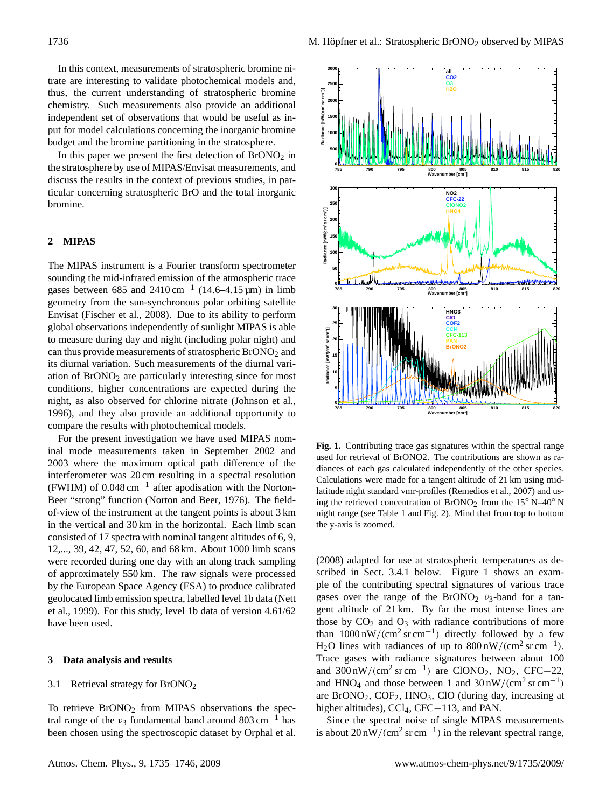In this context, measurements of stratospheric bromine nitrate are interesting to validate photochemical models and, thus, the current understanding of stratospheric bromine chemistry. Such measurements also provide an additional independent set of observations that would be useful as input for model calculations concerning the inorganic bromine budget and the bromine partitioning in the stratosphere.

In this paper we present the first detection of  $\text{BrONO}_2$  in the stratosphere by use of MIPAS/Envisat measurements, and discuss the results in the context of previous studies, in particular concerning stratospheric BrO and the total inorganic bromine.

# **2 MIPAS**

The MIPAS instrument is a Fourier transform spectrometer sounding the mid-infrared emission of the atmospheric trace gases between 685 and  $2410 \text{ cm}^{-1}$  (14.6–4.15 µm) in limb geometry from the sun-synchronous polar orbiting satellite Envisat [\(Fischer et al.,](#page-10-15) [2008\)](#page-10-15). Due to its ability to perform global observations independently of sunlight MIPAS is able to measure during day and night (including polar night) and can thus provide measurements of stratospheric  $B<sub>1</sub>ONO<sub>2</sub>$  and its diurnal variation. Such measurements of the diurnal variation of  $B<sub>1</sub>ONO<sub>2</sub>$  are particularly interesting since for most conditions, higher concentrations are expected during the night, as also observed for chlorine nitrate [\(Johnson et al.,](#page-10-16) [1996\)](#page-10-16), and they also provide an additional opportunity to compare the results with photochemical models.

For the present investigation we have used MIPAS nominal mode measurements taken in September 2002 and<br>The section of BrONO2. The contributions are shown as re-2003 where the maximum optical path difference of the interferometer was 20 cm resulting in a spectral resolution  $(FWHM)$  of 0.048 cm<sup>-1</sup> after apodisation with the Norton-<br>
1 and Fig. 2011 Beer "strong" function [\(Norton and Beer,](#page-10-17) [1976\)](#page-10-17). The fieldof-view of the instrument at the tangent points is about 3 km in the vertical and 30 km in the horizontal. Each limb scan consisted of 17 spectra with nominal tangent altitudes of 6, 9, 12,..., 39, 42, 47, 52, 60, and 68 km. About 1000 limb scans were recorded during one day with an along track sampling of approximately 550 km. The raw signals were processed by the European Space Agency (ESA) to produce calibrated geolocated limb emission spectra, labelled level 1b data [\(Nett](#page-10-18) [et al.,](#page-10-18) [1999\)](#page-10-18). For this study, level 1b data of version 4.61/62 have been used.

# **3 Data analysis and results**

#### 3.1 Retrieval strategy for BrONO<sup>2</sup>

To retrieve  $BrONO<sub>2</sub>$  from MIPAS observations the spectral range of the  $v_3$  fundamental band around 803 cm<sup>-1</sup> has been chosen using the spectroscopic dataset by [Orphal et al.](#page-10-19)



 $\frac{1}{2}$  calculated independently of the other species.  $\Omega$  cm resulting in a spectral resolution calculations were made for a tangent altitude of 21 km using mid-**Fig. 1.** Contributing trace gas signatures within the spectral range used for retrieval of BrONO2. The contributions are shown as ralatitude night standard vmr-profiles [\(Remedios et al.,](#page-11-10) [2007\)](#page-11-10) and using the retrieved concentration of BrONO<sub>2</sub> from the  $15° N-40° N$ night range (see Table [1](#page-2-0) and Fig. [2\)](#page-4-0). Mind that from top to bottom the y-axis is zoomed.

<span id="page-1-0"></span>[\(2008\)](#page-10-19) adapted for use at stratospheric temperatures as described in Sect. [3.4.1](#page-6-0) below. Figure [1](#page-1-0) shows an example of the contributing spectral signatures of various trace gases over the range of the  $BrONO<sub>2</sub>$   $v<sub>3</sub>$ -band for a tangent altitude of 21 km. By far the most intense lines are those by  $CO<sub>2</sub>$  and  $O<sub>3</sub>$  with radiance contributions of more than  $1000 \text{ nW}/(\text{cm}^2 \text{ sr cm}^{-1})$  directly followed by a few H<sub>2</sub>O lines with radiances of up to  $800 \text{ nW}/(\text{cm}^2 \text{ sr} \text{ cm}^{-1})$ . Trace gases with radiance signatures between about 100 and  $300 \text{ nW}/(\text{cm}^2 \text{ sr cm}^{-1})$  are ClONO<sub>2</sub>, NO<sub>2</sub>, CFC−22, and HNO<sub>4</sub> and those between 1 and  $30 \text{ nW}/(\text{cm}^2 \text{ sr cm}^{-1})$ are  $BrONO<sub>2</sub>$ ,  $COF<sub>2</sub>$ ,  $HNO<sub>3</sub>$ ,  $CIO$  (during day, increasing at higher altitudes), CCl<sub>4</sub>, CFC−113, and PAN.

Since the spectral noise of single MIPAS measurements is about  $20 \text{ nW}/(\text{cm}^2 \text{ sr cm}^{-1})$  in the relevant spectral range,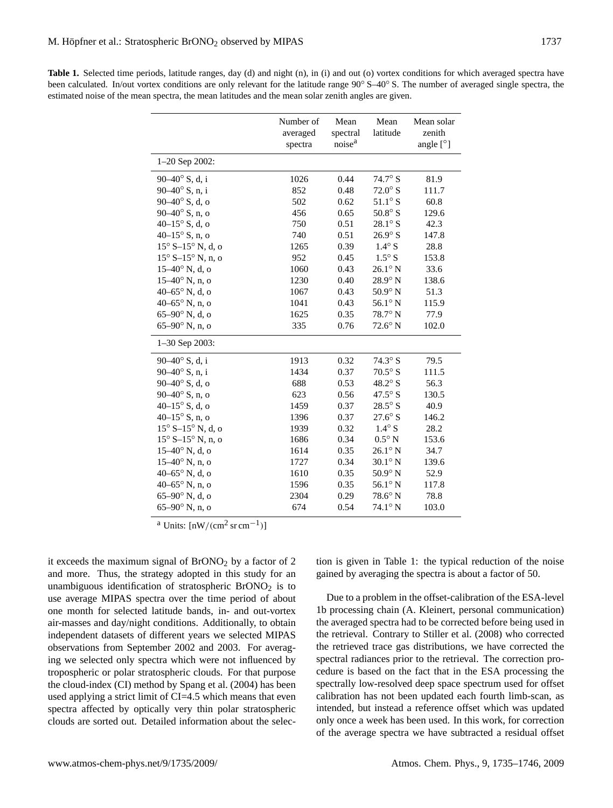<span id="page-2-0"></span>

| <b>Table 1.</b> Selected time periods, latitude ranges, day (d) and night (n), in (i) and out (o) vortex conditions for which averaged spectra have |
|-----------------------------------------------------------------------------------------------------------------------------------------------------|
| been calculated. In/out vortex conditions are only relevant for the latitude range $90^{\circ}$ S-40° S. The number of averaged single spectra, the |
| estimated noise of the mean spectra, the mean latitudes and the mean solar zenith angles are given.                                                 |

|                                      | Number of<br>averaged<br>spectra | Mean<br>spectral<br>noise <sup>a</sup> | Mean<br>latitude     | Mean solar<br>zenith<br>angle $[°]$ |
|--------------------------------------|----------------------------------|----------------------------------------|----------------------|-------------------------------------|
| $1-20$ Sep 2002:                     |                                  |                                        |                      |                                     |
| 90-40° S, d, i                       | 1026                             | 0.44                                   | $74.7^\circ$ S       | 81.9                                |
| 90-40° S, n, i                       | 852                              | 0.48                                   | $72.0^\circ$ S       | 111.7                               |
| $90-40^{\circ}$ S, d, o              | 502                              | 0.62                                   | $51.1^\circ$ S       | 60.8                                |
| $90-40^{\circ}$ S, n, o              | 456                              | 0.65                                   | $50.8^\circ$ S       | 129.6                               |
| 40 $-15^{\circ}$ S, d, o             | 750                              | 0.51                                   | $28.1^\circ$ S       | 42.3                                |
| $40-15^{\circ}$ S, n, o              | 740                              | 0.51                                   | $26.9^\circ$ S       | 147.8                               |
| $15^{\circ}$ S- $15^{\circ}$ N, d, o | 1265                             | 0.39                                   | $1.4^\circ$ S        | 28.8                                |
| $15^{\circ}$ S- $15^{\circ}$ N, n, o | 952                              | 0.45                                   | $1.5^\circ$ S        | 153.8                               |
| $15-40$ ° N, d, o                    | 1060                             | 0.43                                   | $26.1^\circ$ N       | 33.6                                |
| $15-40$ ° N, n, o                    | 1230                             | 0.40                                   | $28.9^\circ$ N       | 138.6                               |
| 40-65° N, d, o                       | 1067                             | 0.43                                   | $50.9^\circ$ N       | 51.3                                |
| 40-65 $^{\circ}$ N, n, o             | 1041                             | 0.43                                   | $56.1^\circ$ N       | 115.9                               |
| $65-90^\circ$ N, d, o                | 1625                             | 0.35                                   | 78.7° N              | 77.9                                |
| $65-90^\circ$ N, n, o                | 335                              | 0.76                                   | $72.6^\circ$ N       | 102.0                               |
| $1 - 30$ Sep 2003:                   |                                  |                                        |                      |                                     |
| 90-40° S, d, i                       | 1913                             | 0.32                                   | 74.3 $\textdegree$ S | 79.5                                |
| $90 - 40^{\circ}$ S, n, i            | 1434                             | 0.37                                   | $70.5^\circ$ S       | 111.5                               |
| $90-40^{\circ}$ S, d, o              | 688                              | 0.53                                   | $48.2^\circ$ S       | 56.3                                |
| $90-40^{\circ}$ S, n, o              | 623                              | 0.56                                   | $47.5^{\circ}$ S     | 130.5                               |
| 40 $-15^{\circ}$ S, d, o             | 1459                             | 0.37                                   | $28.5^\circ$ S       | 40.9                                |
| 40 $-15^{\circ}$ S, n, o             | 1396                             | 0.37                                   | $27.6^\circ$ S       | 146.2                               |
| $15^{\circ}$ S– $15^{\circ}$ N, d, o | 1939                             | 0.32                                   | $1.4^\circ$ S        | 28.2                                |
| $15^{\circ}$ S- $15^{\circ}$ N, n, o | 1686                             | 0.34                                   | $0.5^{\circ}$ N      | 153.6                               |
| $15-40$ ° N, d, o                    | 1614                             | 0.35                                   | $26.1^\circ$ N       | 34.7                                |
| $15-40^{\circ}$ N, n, o              | 1727                             | 0.34                                   | $30.1^\circ$ N       | 139.6                               |
| 40-65 $^{\circ}$ N, d, o             | 1610                             | 0.35                                   | $50.9^{\circ}$ N     | 52.9                                |
| 40-65° N, n, o                       | 1596                             | 0.35                                   | $56.1^\circ$ N       | 117.8                               |
| $65-90^\circ$ N, d, o                | 2304                             | 0.29                                   | $78.6^\circ$ N       | 78.8                                |
| $65-90^\circ$ N, n, o                | 674                              | 0.54                                   | $74.1^\circ$ N       | 103.0                               |

<sup>a</sup> Units:  $[nW/(cm^2~sr~cm^{-1})]$ 

it exceeds the maximum signal of  $B<sub>1</sub>ONO<sub>2</sub>$  by a factor of 2 and more. Thus, the strategy adopted in this study for an unambiguous identification of stratospheric  $BrONO<sub>2</sub>$  is to use average MIPAS spectra over the time period of about one month for selected latitude bands, in- and out-vortex air-masses and day/night conditions. Additionally, to obtain independent datasets of different years we selected MIPAS observations from September 2002 and 2003. For averaging we selected only spectra which were not influenced by tropospheric or polar stratospheric clouds. For that purpose the cloud-index (CI) method by [Spang et al.](#page-11-11) [\(2004\)](#page-11-11) has been used applying a strict limit of CI=4.5 which means that even spectra affected by optically very thin polar stratospheric clouds are sorted out. Detailed information about the selection is given in Table [1:](#page-2-0) the typical reduction of the noise gained by averaging the spectra is about a factor of 50.

Due to a problem in the offset-calibration of the ESA-level 1b processing chain (A. Kleinert, personal communication) the averaged spectra had to be corrected before being used in the retrieval. Contrary to [Stiller et al.](#page-11-12) [\(2008\)](#page-11-12) who corrected the retrieved trace gas distributions, we have corrected the spectral radiances prior to the retrieval. The correction procedure is based on the fact that in the ESA processing the spectrally low-resolved deep space spectrum used for offset calibration has not been updated each fourth limb-scan, as intended, but instead a reference offset which was updated only once a week has been used. In this work, for correction of the average spectra we have subtracted a residual offset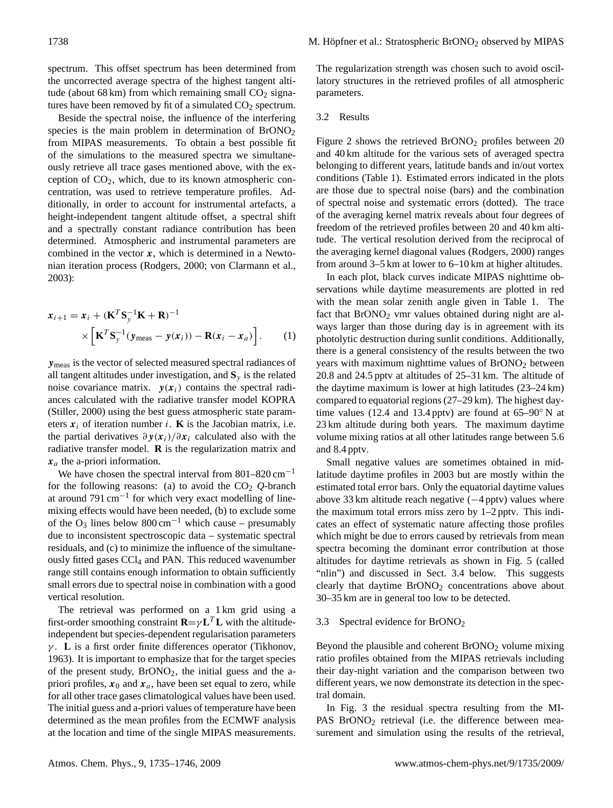spectrum. This offset spectrum has been determined from the uncorrected average spectra of the highest tangent altitude (about 68 km) from which remaining small  $CO<sub>2</sub>$  signatures have been removed by fit of a simulated  $CO<sub>2</sub>$  spectrum.

Beside the spectral noise, the influence of the interfering species is the main problem in determination of  $\text{BrONO}_2$ from MIPAS measurements. To obtain a best possible fit of the simulations to the measured spectra we simultaneously retrieve all trace gases mentioned above, with the exception of  $CO<sub>2</sub>$ , which, due to its known atmospheric concentration, was used to retrieve temperature profiles. Additionally, in order to account for instrumental artefacts, a height-independent tangent altitude offset, a spectral shift and a spectrally constant radiance contribution has been determined. Atmospheric and instrumental parameters are combined in the vector  $x$ , which is determined in a Newtonian iteration process [\(Rodgers,](#page-11-13) [2000;](#page-11-13) [von Clarmann et al.,](#page-11-14) [2003\)](#page-11-14):

$$
\mathbf{x}_{i+1} = \mathbf{x}_i + (\mathbf{K}^T \mathbf{S}_y^{-1} \mathbf{K} + \mathbf{R})^{-1} \times \left[ \mathbf{K}^T \mathbf{S}_y^{-1} (\mathbf{y}_{\text{meas}} - \mathbf{y}(\mathbf{x}_i)) - \mathbf{R}(\mathbf{x}_i - \mathbf{x}_a) \right].
$$
 (1)

ymeas is the vector of selected measured spectral radiances of all tangent altitudes under investigation, and  $S_y$  is the related noise covariance matrix.  $y(x_i)$  contains the spectral radiances calculated with the radiative transfer model KOPRA [\(Stiller,](#page-11-15) [2000\)](#page-11-15) using the best guess atmospheric state parameters  $x_i$  of iteration number i. **K** is the Jacobian matrix, i.e. the partial derivatives  $\partial y(x_i)/\partial x_i$  calculated also with the radiative transfer model. **R** is the regularization matrix and  $x_a$  the a-priori information.

We have chosen the spectral interval from  $801-820$  cm<sup>-1</sup> for the following reasons: (a) to avoid the  $CO<sub>2</sub>$   $Q$ -branch at around 791 cm−<sup>1</sup> for which very exact modelling of linemixing effects would have been needed, (b) to exclude some of the O<sub>3</sub> lines below 800 cm<sup>-1</sup> which cause – presumably due to inconsistent spectroscopic data – systematic spectral residuals, and (c) to minimize the influence of the simultaneously fitted gases CCl<sub>4</sub> and PAN. This reduced wavenumber range still contains enough information to obtain sufficiently small errors due to spectral noise in combination with a good vertical resolution.

The retrieval was performed on a 1 km grid using a first-order smoothing constraint  $\mathbf{R} = \gamma \mathbf{L}^T \mathbf{L}$  with the altitudeindependent but species-dependent regularisation parameters γ . **L** is a first order finite differences operator [\(Tikhonov,](#page-11-16) [1963\)](#page-11-16). It is important to emphasize that for the target species of the present study,  $BrONO<sub>2</sub>$ , the initial guess and the apriori profiles,  $x_0$  and  $x_a$ , have been set equal to zero, while for all other trace gases climatological values have been used. The initial guess and a-priori values of temperature have been determined as the mean profiles from the ECMWF analysis at the location and time of the single MIPAS measurements. The regularization strength was chosen such to avoid oscillatory structures in the retrieved profiles of all atmospheric parameters.

## 3.2 Results

Figure [2](#page-4-0) shows the retrieved  $BrONO<sub>2</sub>$  profiles between 20 and 40 km altitude for the various sets of averaged spectra belonging to different years, latitude bands and in/out vortex conditions (Table [1\)](#page-2-0). Estimated errors indicated in the plots are those due to spectral noise (bars) and the combination of spectral noise and systematic errors (dotted). The trace of the averaging kernel matrix reveals about four degrees of freedom of the retrieved profiles between 20 and 40 km altitude. The vertical resolution derived from the reciprocal of the averaging kernel diagonal values [\(Rodgers,](#page-11-13) [2000\)](#page-11-13) ranges from around 3–5 km at lower to 6–10 km at higher altitudes.

In each plot, black curves indicate MIPAS nighttime observations while daytime measurements are plotted in red with the mean solar zenith angle given in Table [1.](#page-2-0) The fact that  $BrONO<sub>2</sub>$  vmr values obtained during night are always larger than those during day is in agreement with its photolytic destruction during sunlit conditions. Additionally, there is a general consistency of the results between the two years with maximum nighttime values of BrONO<sub>2</sub> between 20.8 and 24.5 pptv at altitudes of 25–31 km. The altitude of the daytime maximum is lower at high latitudes (23–24 km) compared to equatorial regions (27–29 km). The highest daytime values (12.4 and 13.4 pptv) are found at  $65-90°$  N at 23 km altitude during both years. The maximum daytime volume mixing ratios at all other latitudes range between 5.6 and 8.4 pptv.

Small negative values are sometimes obtained in midlatitude daytime profiles in 2003 but are mostly within the estimated total error bars. Only the equatorial daytime values above 33 km altitude reach negative (−4 pptv) values where the maximum total errors miss zero by 1–2 pptv. This indicates an effect of systematic nature affecting those profiles which might be due to errors caused by retrievals from mean spectra becoming the dominant error contribution at those altitudes for daytime retrievals as shown in Fig. [5](#page-7-0) (called "nlin") and discussed in Sect. [3.4](#page-6-1) below. This suggests clearly that daytime BrONO<sub>2</sub> concentrations above about 30–35 km are in general too low to be detected.

# 3.3 Spectral evidence for BrONO<sup>2</sup>

Beyond the plausible and coherent  $BrONO<sub>2</sub>$  volume mixing ratio profiles obtained from the MIPAS retrievals including their day-night variation and the comparison between two different years, we now demonstrate its detection in the spectral domain.

In Fig. [3](#page-5-0) the residual spectra resulting from the MI-PAS BrONO<sub>2</sub> retrieval (i.e. the difference between measurement and simulation using the results of the retrieval,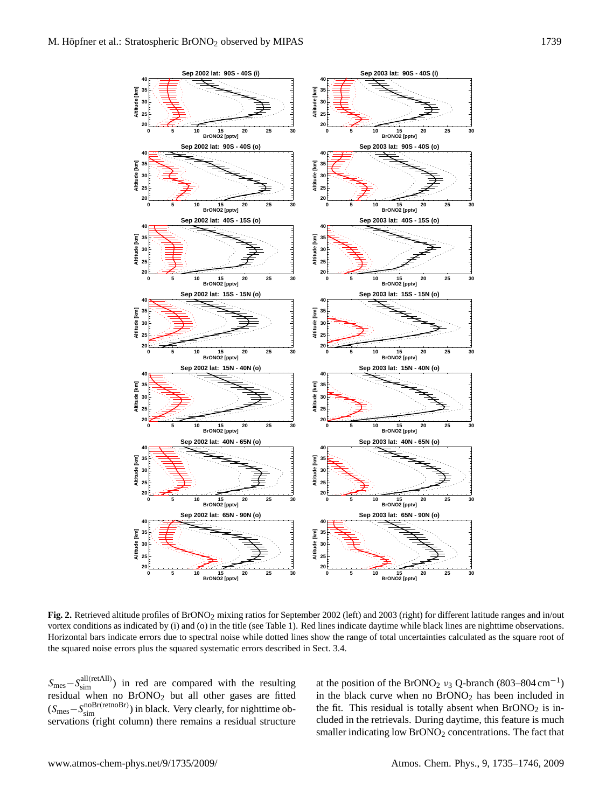

<span id="page-4-0"></span>vortex conditions as indicated by (1) and (0) in the title (see Table 1). Red lines indicate daytime while black lines are nighttime observations.<br>Horizontal bars indicate errors due to spectral noise while dotted lines sh the squared noise errors plus the squared systematic errors described in Sect. 3.4. **Fig. 2.** Retrieved altitude profiles of BrONO2 mixing ratios for September 2002 (left) and 2003 (right) for different latitude ranges and in/out vortex conditions as indicated by (i) and (o) in the title (see Table 1). Red lines indicate daytime while black lines are nighttime observations.

 $H_{\text{eff}}$  and noise while dotted lines show the range of total uncertainties calculated as the square root of total uncertainties calculated as the square root of total uncertainties calculated as the square root of total  $S_{\text{mes}} - S_{\text{sim}}^{\text{all(retAll)}}$  in red are compared with the resulting at the position<br>residual when no BrONOs but all other gases are fitted in the black of residual when no BrONO<sub>2</sub> but all other gases are fitted  $(S_{\text{mes}} - S_{\text{sim}}^{\text{noBr}(\text{retnoBr})})$  in black. Very clearly, for nighttime observations (right column) there remains a residual structure

at the position of the BrONO<sub>2</sub>  $v_3$  Q-branch (803–804 cm<sup>-1</sup>) in the black curve when no  $BrONO<sub>2</sub>$  has been included in the fit. This residual is totally absent when  $BrONO<sub>2</sub>$  is included in the retrievals. During daytime, this feature is much smaller indicating low BrONO<sub>2</sub> concentrations. The fact that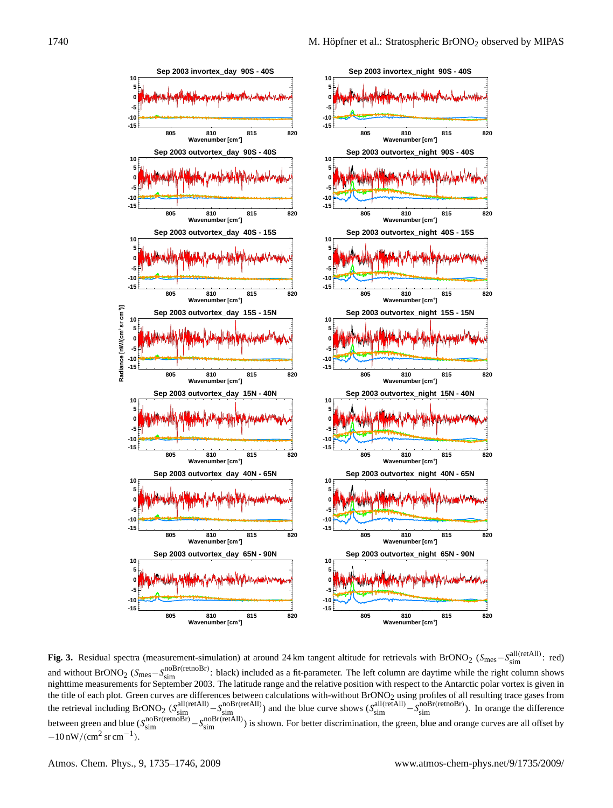

<span id="page-5-0"></span>in the column are algorithmed to the equal the measurements for September 2003. The latitude range and the relative position with respect to the Antarctic polar vortex is given in<br>the title of each plot. Green curves are the retrieval including BrONO<sub>2</sub> ( $S_{\text{sim}}^{\text{all(retAll)}} - S_{\text{sim}}^{\text{noBr(retAll)}}$ ) and the blue curve shows ( $S_{\text{sim}}^{\text{all(retAll)}} - S_{\text{sim}}^{\text{noBr(retnORr)}}$ ). In orange the difference between green and blue ( $S_{\text{sim}}^{\text{noBr(retnORr)}} - S_{\text{sim}}^{\text{no$  $-10 \text{ nW/(cm}^2 \text{ sr cm}^{-1})$ . **Fig. 3.** Residual spectra (measurement-simulation) at around 24 km tangent altitude for retrievals with BrONO<sub>2</sub> (S<sub>mes</sub>–S<sub>sim</sub><sup>(retAll)</sup>: red) and without BrONO<sub>2</sub> ( $S_{\text{mes}} - S_{\text{sim}}^{\text{noBr}(retnoBr)}$ : black) included as a fit-parameter. The left column are daytime while the right column shows nighttime measurements for September 2003. The latitude range and the relative position with respect to the Antarctic polar vortex is given in between green and blue  $(S_{sim}^{noBr(retoB)} - S_{sim}^{noBr(retAll)})$  is shown. For better discrimination, the green, blue and orange curves are all offset by  $-10 \text{ nW}/(\text{cm}^2 \text{ sr cm}^{-1}).$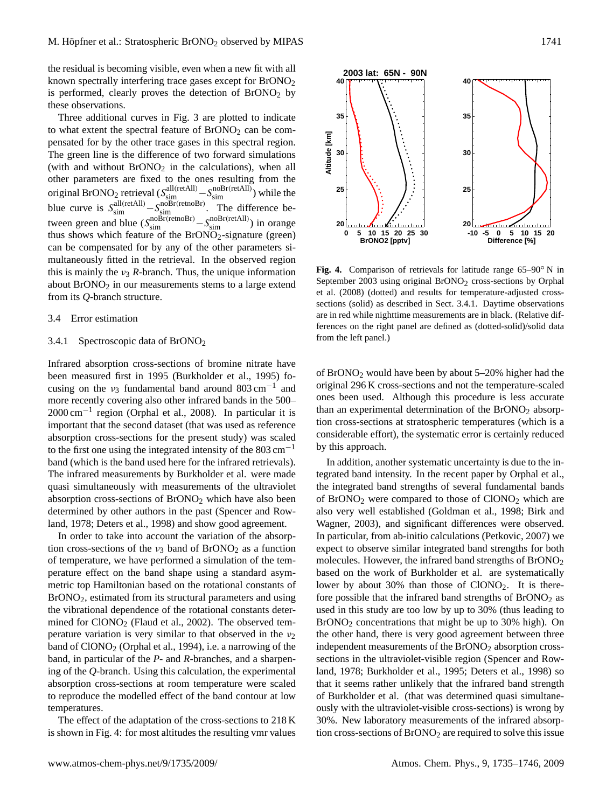the residual is becoming visible, even when a new fit with all known spectrally interfering trace gases except for  $BrONO<sub>2</sub>$ is performed, clearly proves the detection of  $BrONO<sub>2</sub>$  by these observations.

Three additional curves in Fig. [3](#page-5-0) are plotted to indicate to what extent the spectral feature of  $BrONO<sub>2</sub>$  can be compensated for by the other trace gases in this spectral region. The green line is the difference of two forward simulations (with and without  $\text{BrONO}_2$  in the calculations), when all other parameters are fixed to the ones resulting from the original BrONO<sub>2</sub> retrieval  $(S_{sim}^{all(retAll)} - S_{sim}^{noBr(retAll)})$  while the blue curve is  $S_{\text{sim}}^{\text{all(retAll)}} - S_{\text{sim}}^{\text{noBr(retnoBr)}}$ . The difference between green and blue  $(S_{sim}^{noBr(retnORr)} - S_{sim}^{noBr(retAll)})$  in orange thus shows which feature of the BrONO<sub>2</sub>-signature (green) can be compensated for by any of the other parameters simultaneously fitted in the retrieval. In the observed region this is mainly the  $v_3$  *R*-branch. Thus, the unique information about  $BrONO<sub>2</sub>$  in our measurements stems to a large extend from its *Q*-branch structure.

### <span id="page-6-1"></span>3.4 Error estimation

### <span id="page-6-0"></span>3.4.1 Spectroscopic data of BrONO<sup>2</sup>

Infrared absorption cross-sections of bromine nitrate have been measured first in 1995 [\(Burkholder et al.,](#page-9-0) [1995\)](#page-9-0) focusing on the  $v_3$  fundamental band around 803 cm<sup>-1</sup> and more recently covering also other infrared bands in the 500– 2000 cm−<sup>1</sup> region [\(Orphal et al.,](#page-10-19) [2008\)](#page-10-19). In particular it is important that the second dataset (that was used as reference absorption cross-sections for the present study) was scaled to the first one using the integrated intensity of the  $803 \text{ cm}^{-1}$ band (which is the band used here for the infrared retrievals). The infrared measurements by [Burkholder et al.](#page-9-0) were made quasi simultaneously with measurements of the ultraviolet absorption cross-sections of  $BrONO<sub>2</sub>$  which have also been determined by other authors in the past [\(Spencer and Row](#page-11-0)[land,](#page-11-0) [1978;](#page-11-0) [Deters et al.,](#page-10-2) [1998\)](#page-10-2) and show good agreement.

In order to take into account the variation of the absorption cross-sections of the  $v_3$  band of BrONO<sub>2</sub> as a function of temperature, we have performed a simulation of the temperature effect on the band shape using a standard asymmetric top Hamiltonian based on the rotational constants of BrONO2, estimated from its structural parameters and using the vibrational dependence of the rotational constants determined for  $CIONO<sub>2</sub>$  [\(Flaud et al.,](#page-10-20) [2002\)](#page-10-20). The observed temperature variation is very similar to that observed in the  $v_2$ band of ClONO<sub>2</sub> [\(Orphal et al.,](#page-10-21) [1994\)](#page-10-21), i.e. a narrowing of the band, in particular of the *P*- and *R*-branches, and a sharpening of the *Q*-branch. Using this calculation, the experimental absorption cross-sections at room temperature were scaled to reproduce the modelled effect of the band contour at low temperatures.

The effect of the adaptation of the cross-sections to 218 K is shown in Fig. [4:](#page-6-2) for most altitudes the resulting vmr values



<span id="page-6-2"></span>September 2003 using original BrONO<sub>2</sub> cross-sections by [Orphal](#page-10-19) [et al.](#page-10-19) [\(2008\)](#page-10-19) (dotted) and results for temperature-adjusted crosssections (solid) as described in Sect. 3.4.1. Daytime observations are in red while nighttime measurements are in black. (Relative differences on the right panel are defined as (dotted-solid)/solid data from the left panel.) **Fig. 4.** Comparison of retrievals for latitude range 65–90◦ N in

of  $BrONO<sub>2</sub>$  would have been by about 5–20% higher had the original 296 K cross-sections and not the temperature-scaled ones been used. Although this procedure is less accurate than an experimental determination of the  $BrONO<sub>2</sub>$  absorption cross-sections at stratospheric temperatures (which is a considerable effort), the systematic error is certainly reduced by this approach.

In addition, another systematic uncertainty is due to the integrated band intensity. In the recent paper by [Orphal et al.,](#page-10-19) the integrated band strengths of several fundamental bands of  $BrONO<sub>2</sub>$  were compared to those of  $CIONO<sub>2</sub>$  which are also very well established [\(Goldman et al.,](#page-10-22) [1998;](#page-10-22) [Birk and](#page-9-4) [Wagner,](#page-9-4) [2003\)](#page-9-4), and significant differences were observed. In particular, from ab-initio calculations [\(Petkovic,](#page-10-23) [2007\)](#page-10-23) we expect to observe similar integrated band strengths for both molecules. However, the infrared band strengths of BrONO<sub>2</sub> based on the work of [Burkholder et al.](#page-9-0) are systematically lower by about 30% than those of ClONO<sub>2</sub>. It is therefore possible that the infrared band strengths of  $BrONO<sub>2</sub>$  as used in this study are too low by up to 30% (thus leading to BrONO<sup>2</sup> concentrations that might be up to 30% high). On the other hand, there is very good agreement between three independent measurements of the BrONO<sub>2</sub> absorption crosssections in the ultraviolet-visible region [\(Spencer and Row](#page-11-0)[land,](#page-11-0) [1978;](#page-11-0) [Burkholder et al.,](#page-9-0) [1995;](#page-9-0) [Deters et al.,](#page-10-2) [1998\)](#page-10-2) so that it seems rather unlikely that the infrared band strength of [Burkholder et al.](#page-9-0) (that was determined quasi simultaneously with the ultraviolet-visible cross-sections) is wrong by 30%. New laboratory measurements of the infrared absorption cross-sections of  $BrONO<sub>2</sub>$  are required to solve this issue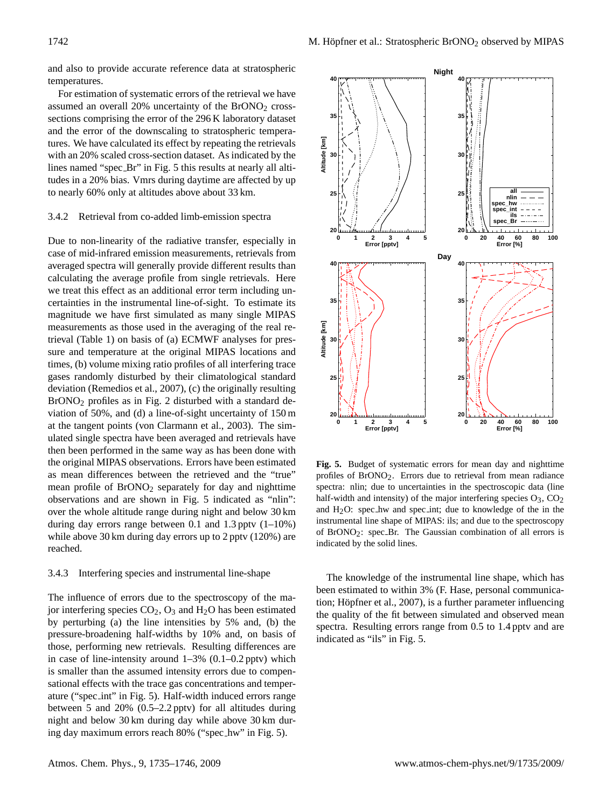and also to provide accurate reference data at stratospheric temperatures.

For estimation of systematic errors of the retrieval we have assumed an overall  $20\%$  uncertainty of the BrONO<sub>2</sub> crosssections comprising the error of the 296 K laboratory dataset and the error of the downscaling to stratospheric temperatures. We have calculated its effect by repeating the retrievals with an 20% scaled cross-section dataset. As indicated by the lines named "spec\_Br" in Fig. [5](#page-7-0) this results at nearly all altitudes in a 20% bias. Vmrs during daytime are affected by up to nearly 60% only at altitudes above about 33 km.

#### 3.4.2 Retrieval from co-added limb-emission spectra

Due to non-linearity of the radiative transfer, especially in case of mid-infrared emission measurements, retrievals from averaged spectra will generally provide different results than calculating the average profile from single retrievals. Here we treat this effect as an additional error term including uncertainties in the instrumental line-of-sight. To estimate its magnitude we have first simulated as many single MIPAS measurements as those used in the averaging of the real retrieval (Table [1\)](#page-2-0) on basis of (a) ECMWF analyses for pressure and temperature at the original MIPAS locations and times, (b) volume mixing ratio profiles of all interfering trace gases randomly disturbed by their climatological standard deviation [\(Remedios et al.,](#page-11-10) [2007\)](#page-11-10), (c) the originally resulting BrONO<sup>2</sup> profiles as in Fig. [2](#page-4-0) disturbed with a standard deviation of 50%, and (d) a line-of-sight uncertainty of 150 m at the tangent points [\(von Clarmann et al.,](#page-11-14) [2003\)](#page-11-14). The simulated single spectra have been averaged and retrievals have then been performed in the same way as has been done with the original MIPAS observations. Errors have been estimated as mean differences between the retrieved and the "true" mean profile of  $BrONO<sub>2</sub>$  separately for day and nighttime observations and are shown in Fig. 5 indicated as "nlin": over the whole altitude range during night and below  $30 \text{ km}$  and  $H_2O$ : spec\_hw and sp during day errors range between 0.1 and 1.3 pptv  $(1-10\%)$ while above 30 km during day errors up to 2 pptv (120%) are reached.

#### 3.4.3 Interfering species and instrumental line-shape

The influence of errors due to the spectroscopy of the major interfering species  $CO<sub>2</sub>$ ,  $O<sub>3</sub>$  and  $H<sub>2</sub>O$  has been estimated by perturbing (a) the line intensities by 5% and, (b) the pressure-broadening half-widths by 10% and, on basis of those, performing new retrievals. Resulting differences are in case of line-intensity around 1–3% (0.1–0.2 pptv) which is smaller than the assumed intensity errors due to compensational effects with the trace gas concentrations and temperature ("spec int" in Fig. [5\)](#page-7-0). Half-width induced errors range between 5 and 20% (0.5–2.2 pptv) for all altitudes during night and below 30 km during day while above 30 km during day maximum errors reach 80% ("spec hw" in Fig. [5\)](#page-7-0).



**Fig. 5.** Budget of systematic errors for mean day and nighttime profiles of  $\text{F}_{\text{R}}$  is a profiles of  $\text{B}_{\text{R}}$  for  $\text{D}_{\text{R}}$  from mean radiance spectrasses between the ratiance and the "true" profiles of  $\text{B}_{$  $\text{BrONO}_2$  separately for day and nighttime spectra: nlin; due to uncertainties in the spectroscopic data (line d are sh[o](#page-7-0)wn in Fig. 5 indicated as "nlin": half-width and intensity) of the major interfering species  $O_3$ ,  $CO_2$ profiles of BrONO2. Errors due to retrieval from mean radiance and  $H<sub>2</sub>O$ : spec\_hw and spec\_int; due to knowledge of the in the instrumental line shape of MIPAS: ils; and due to the spectroscopy of BrONO<sub>2</sub>: spec\_Br. The Gaussian combination of all errors is indicated by the solid lines.

<span id="page-7-0"></span>The knowledge of the instrumental line shape, which has been estimated to within 3% (F. Hase, personal communication; Höpfner et al.,  $2007$ ), is a further parameter influencing the quality of the fit between simulated and observed mean spectra. Resulting errors range from 0.5 to 1.4 pptv and are indicated as "ils" in Fig. [5.](#page-7-0)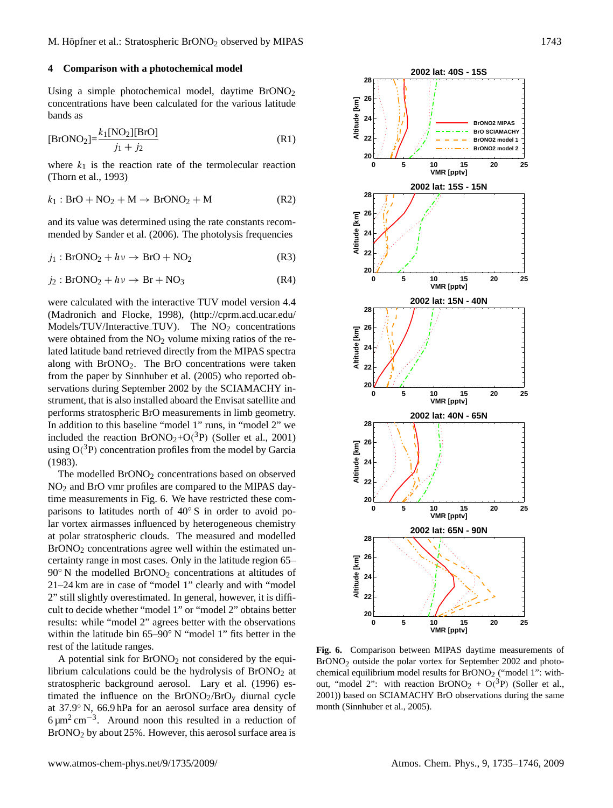#### **4 Comparison with a photochemical model**

Using a simple photochemical model, daytime  $BrONO<sub>2</sub>$ concentrations have been calculated for the various latitude bands as

$$
[\text{BrONO}_2] = \frac{k_1 [\text{NO}_2] [\text{BrO}]}{j_1 + j_2}
$$
 (R1)

where  $k_1$  is the reaction rate of the termolecular reaction [\(Thorn et al.,](#page-11-17) [1993\)](#page-11-17)

$$
k_1: \text{BrO} + \text{NO}_2 + \text{M} \rightarrow \text{BrONO}_2 + \text{M} \tag{R2}
$$

and its value was determined using the rate constants recommended by [Sander et al.](#page-11-18) [\(2006\)](#page-11-18). The photolysis frequencies

$$
j_1: BrONO_2 + h\nu \to BrO + NO_2 \tag{R3}
$$

$$
j_2: BrONO_2 + h\nu \to Br + NO_3 \tag{R4}
$$

were calculated with the interactive TUV model version 4.4 [\(Madronich and Flocke,](#page-10-25) [1998\)](#page-10-25), [\(http://cprm.acd.ucar.edu/](http://cprm.acd.ucar.edu/Models/TUV/Interactive_TUV) [Models/TUV/Interactive](http://cprm.acd.ucar.edu/Models/TUV/Interactive_TUV)\_TUV). The NO<sub>2</sub> concentrations were obtained from the  $NO<sub>2</sub>$  volume mixing ratios of the related latitude band retrieved directly from the MIPAS spectra along with BrONO2. The BrO concentrations were taken from the paper by [Sinnhuber et al.](#page-11-5) [\(2005\)](#page-11-5) who reported observations during September 2002 by the SCIAMACHY instrument, that is also installed aboard the Envisat satellite and performs stratospheric BrO measurements in limb geometry. In addition to this baseline "model 1" runs, in "model 2" we included the reaction  $BrONO_2+O(^3P)$  [\(Soller et al.,](#page-11-4) [2001\)](#page-11-4) using  $O(^3P)$  concentration profiles from the model by [Garcia](#page-10-26) [\(1983\)](#page-10-26).

The modelled BrONO<sub>2</sub> concentrations based on observed NO<sup>2</sup> and BrO vmr profiles are compared to the MIPAS daytime measurements in Fig. [6.](#page-8-0) We have restricted these comparisons to latitudes north of 40° S in order to avoid polar vortex airmasses influenced by heterogeneous chemistry at polar stratospheric clouds. The measured and modelled BrONO<sub>2</sub> concentrations agree well within the estimated uncertainty range in most cases. Only in the latitude region 65–  $90°$  N the modelled BrONO<sub>2</sub> concentrations at altitudes of 21–24 km are in case of "model 1" clearly and with "model 2" still slightly overestimated. In general, however, it is difficult to decide whether "model 1" or "model 2" obtains better results: while "model 2" agrees better with the observations within the latitude bin 65–90◦ N "model 1" fits better in the rest of the latitude ranges.

A potential sink for  $BrONO<sub>2</sub>$  not considered by the equilibrium calculations could be the hydrolysis of  $BrONO<sub>2</sub>$  at stratospheric background aerosol. [Lary et al.](#page-10-4) [\(1996\)](#page-10-4) estimated the influence on the  $BrONO<sub>2</sub>/BrO<sub>y</sub>$  diurnal cycle at 37.9◦ N, 66.9 hPa for an aerosol surface area density of  $6 \mu m^2$  cm<sup>-3</sup>. Around noon this resulted in a reduction of BrONO<sup>2</sup> by about 25%. However, this aerosol surface area is n a reduction of  $\epsilon$  and  $\epsilon$  is  $\epsilon$  by BrONO2 ('model 1': with- $\frac{1}{2}$  is surface and is



<span id="page-8-0"></span>**Fig. 6.** Comparison Brono<sup>2</sup> + O(<sup>3</sup>P) (Soller et al., by unitary experiments for September 2002), based on September 21.2005). **Fig. 6.** Comparison between MIPAS daytime measurements of  $BrONO<sub>2</sub>$  outside the polar vortex for September 2002 and photochemical equilibrium model results for  $BrONO<sub>2</sub>$  ("model 1": with-[2001\)](#page-11-4)) based on SCIAMACHY BrO observations during the same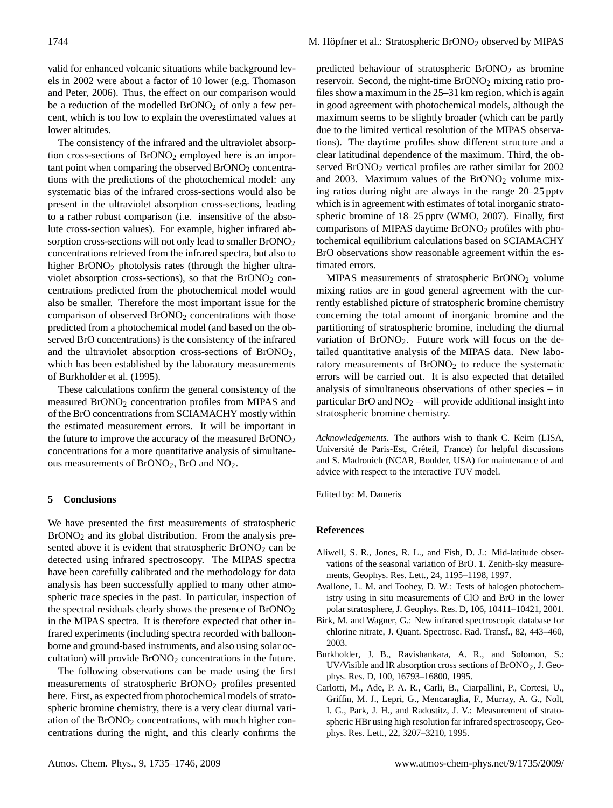valid for enhanced volcanic situations while background levels in 2002 were about a factor of 10 lower (e.g. [Thomason](#page-11-19) [and Peter,](#page-11-19) [2006\)](#page-11-19). Thus, the effect on our comparison would be a reduction of the modelled  $BrONO<sub>2</sub>$  of only a few percent, which is too low to explain the overestimated values at lower altitudes.

The consistency of the infrared and the ultraviolet absorption cross-sections of  $BrONO<sub>2</sub>$  employed here is an important point when comparing the observed BrONO<sub>2</sub> concentrations with the predictions of the photochemical model: any systematic bias of the infrared cross-sections would also be present in the ultraviolet absorption cross-sections, leading to a rather robust comparison (i.e. insensitive of the absolute cross-section values). For example, higher infrared absorption cross-sections will not only lead to smaller BrONO<sub>2</sub> concentrations retrieved from the infrared spectra, but also to higher BrONO<sub>2</sub> photolysis rates (through the higher ultraviolet absorption cross-sections), so that the  $BrONO<sub>2</sub>$  concentrations predicted from the photochemical model would also be smaller. Therefore the most important issue for the comparison of observed BrONO<sub>2</sub> concentrations with those predicted from a photochemical model (and based on the observed BrO concentrations) is the consistency of the infrared and the ultraviolet absorption cross-sections of BrONO2, which has been established by the laboratory measurements of [Burkholder et al.](#page-9-0) [\(1995\)](#page-9-0).

These calculations confirm the general consistency of the measured BrONO<sup>2</sup> concentration profiles from MIPAS and of the BrO concentrations from SCIAMACHY mostly within the estimated measurement errors. It will be important in the future to improve the accuracy of the measured  $BrONO<sub>2</sub>$ concentrations for a more quantitative analysis of simultaneous measurements of BrONO<sub>2</sub>, BrO and NO<sub>2</sub>.

#### **5 Conclusions**

We have presented the first measurements of stratospheric BrONO<sub>2</sub> and its global distribution. From the analysis presented above it is evident that stratospheric BrONO<sub>2</sub> can be detected using infrared spectroscopy. The MIPAS spectra have been carefully calibrated and the methodology for data analysis has been successfully applied to many other atmospheric trace species in the past. In particular, inspection of the spectral residuals clearly shows the presence of BrONO<sup>2</sup> in the MIPAS spectra. It is therefore expected that other infrared experiments (including spectra recorded with balloonborne and ground-based instruments, and also using solar occultation) will provide  $BrONO<sub>2</sub>$  concentrations in the future.

The following observations can be made using the first measurements of stratospheric BrONO<sup>2</sup> profiles presented here. First, as expected from photochemical models of stratospheric bromine chemistry, there is a very clear diurnal variation of the  $B<sub>1</sub>ONO<sub>2</sub>$  concentrations, with much higher concentrations during the night, and this clearly confirms the predicted behaviour of stratospheric  $BrONO<sub>2</sub>$  as bromine reservoir. Second, the night-time  $BrONO<sub>2</sub>$  mixing ratio profiles show a maximum in the 25–31 km region, which is again in good agreement with photochemical models, although the maximum seems to be slightly broader (which can be partly due to the limited vertical resolution of the MIPAS observations). The daytime profiles show different structure and a clear latitudinal dependence of the maximum. Third, the observed BrONO<sub>2</sub> vertical profiles are rather similar for 2002 and 2003. Maximum values of the  $BrONO<sub>2</sub>$  volume mixing ratios during night are always in the range 20–25 pptv which is in agreement with estimates of total inorganic stratospheric bromine of 18–25 pptv [\(WMO,](#page-11-9) [2007\)](#page-11-9). Finally, first comparisons of MIPAS daytime BrONO<sup>2</sup> profiles with photochemical equilibrium calculations based on SCIAMACHY BrO observations show reasonable agreement within the estimated errors.

MIPAS measurements of stratospheric BrONO<sup>2</sup> volume mixing ratios are in good general agreement with the currently established picture of stratospheric bromine chemistry concerning the total amount of inorganic bromine and the partitioning of stratospheric bromine, including the diurnal variation of BrONO2. Future work will focus on the detailed quantitative analysis of the MIPAS data. New laboratory measurements of BrONO<sub>2</sub> to reduce the systematic errors will be carried out. It is also expected that detailed analysis of simultaneous observations of other species – in particular BrO and  $NO<sub>2</sub> -$  will provide additional insight into stratospheric bromine chemistry.

*Acknowledgements.* The authors wish to thank C. Keim (LISA, Université de Paris-Est, Créteil, France) for helpful discussions and S. Madronich (NCAR, Boulder, USA) for maintenance of and advice with respect to the interactive TUV model.

Edited by: M. Dameris

#### **References**

- <span id="page-9-1"></span>Aliwell, S. R., Jones, R. L., and Fish, D. J.: Mid-latitude observations of the seasonal variation of BrO. 1. Zenith-sky measurements, Geophys. Res. Lett., 24, 1195–1198, 1997.
- <span id="page-9-2"></span>Avallone, L. M. and Toohey, D. W.: Tests of halogen photochemistry using in situ measurements of ClO and BrO in the lower polar stratosphere, J. Geophys. Res. D, 106, 10411–10421, 2001.
- <span id="page-9-4"></span>Birk, M. and Wagner, G.: New infrared spectroscopic database for chlorine nitrate, J. Quant. Spectrosc. Rad. Transf., 82, 443–460, 2003.
- <span id="page-9-0"></span>Burkholder, J. B., Ravishankara, A. R., and Solomon, S.: UV/Visible and IR absorption cross sections of BrONO2, J. Geophys. Res. D, 100, 16793–16800, 1995.
- <span id="page-9-3"></span>Carlotti, M., Ade, P. A. R., Carli, B., Ciarpallini, P., Cortesi, U., Griffin, M. J., Lepri, G., Mencaraglia, F., Murray, A. G., Nolt, I. G., Park, J. H., and Radostitz, J. V.: Measurement of stratospheric HBr using high resolution far infrared spectroscopy, Geophys. Res. Lett., 22, 3207–3210, 1995.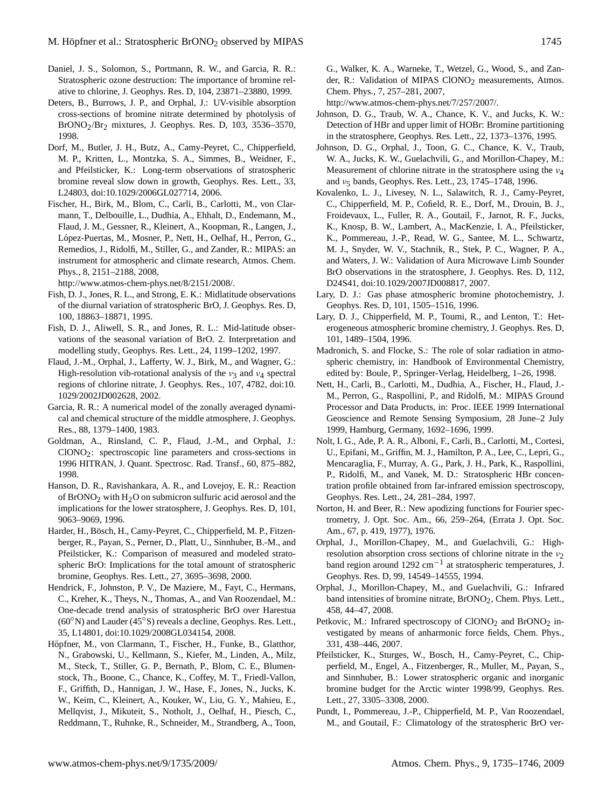- <span id="page-10-1"></span>Daniel, J. S., Solomon, S., Portmann, R. W., and Garcia, R. R.: Stratospheric ozone destruction: The importance of bromine relative to chlorine, J. Geophys. Res. D, 104, 23871–23880, 1999.
- <span id="page-10-2"></span>Deters, B., Burrows, J. P., and Orphal, J.: UV-visible absorption cross-sections of bromine nitrate determined by photolysis of BrONO2/Br2 mixtures, J. Geophys. Res. D, 103, 3536–3570, 1998.
- <span id="page-10-13"></span>Dorf, M., Butler, J. H., Butz, A., Camy-Peyret, C., Chipperfield, M. P., Kritten, L., Montzka, S. A., Simmes, B., Weidner, F., and Pfeilsticker, K.: Long-term observations of stratospheric bromine reveal slow down in growth, Geophys. Res. Lett., 33, L24803, doi:10.1029/2006GL027714, 2006.
- <span id="page-10-15"></span>Fischer, H., Birk, M., Blom, C., Carli, B., Carlotti, M., von Clarmann, T., Delbouille, L., Dudhia, A., Ehhalt, D., Endemann, M., Flaud, J. M., Gessner, R., Kleinert, A., Koopman, R., Langen, J., López-Puertas, M., Mosner, P., Nett, H., Oelhaf, H., Perron, G., Remedios, J., Ridolfi, M., Stiller, G., and Zander, R.: MIPAS: an instrument for atmospheric and climate research, Atmos. Chem. Phys., 8, 2151–2188, 2008,

[http://www.atmos-chem-phys.net/8/2151/2008/.](http://www.atmos-chem-phys.net/8/2151/2008/)

- <span id="page-10-5"></span>Fish, D. J., Jones, R. L., and Strong, E. K.: Midlatitude observations of the diurnal variation of stratospheric BrO, J. Geophys. Res. D, 100, 18863–18871, 1995.
- <span id="page-10-11"></span>Fish, D. J., Aliwell, S. R., and Jones, R. L.: Mid-latitude observations of the seasonal variation of BrO. 2. Interpretation and modelling study, Geophys. Res. Lett., 24, 1199–1202, 1997.
- <span id="page-10-20"></span>Flaud, J.-M., Orphal, J., Lafferty, W. J., Birk, M., and Wagner, G.: High-resolution vib-rotational analysis of the  $v_3$  and  $v_4$  spectral regions of chlorine nitrate, J. Geophys. Res., 107, 4782, doi:10. 1029/2002JD002628, 2002.
- <span id="page-10-26"></span>Garcia, R. R.: A numerical model of the zonally averaged dynamical and chemical structure of the middle atmosphere, J. Geophys. Res., 88, 1379–1400, 1983.
- <span id="page-10-22"></span>Goldman, A., Rinsland, C. P., Flaud, J.-M., and Orphal, J.: ClONO2: spectroscopic line parameters and cross-sections in 1996 HITRAN, J. Quant. Spectrosc. Rad. Transf., 60, 875–882, 1998.
- <span id="page-10-3"></span>Hanson, D. R., Ravishankara, A. R., and Lovejoy, E. R.: Reaction of BrONO<sub>2</sub> with  $H_2O$  on submicron sulfuric acid aerosol and the implications for the lower stratosphere, J. Geophys. Res. D, 101, 9063–9069, 1996.
- <span id="page-10-6"></span>Harder, H., Bösch, H., Camy-Peyret, C., Chipperfield, M. P., Fitzenberger, R., Payan, S., Perner, D., Platt, U., Sinnhuber, B.-M., and Pfeilsticker, K.: Comparison of measured and modeled stratospheric BrO: Implications for the total amount of stratospheric bromine, Geophys. Res. Lett., 27, 3695–3698, 2000.
- <span id="page-10-14"></span>Hendrick, F., Johnston, P. V., De Maziere, M., Fayt, C., Hermans, C., Kreher, K., Theys, N., Thomas, A., and Van Roozendael, M.: One-decade trend analysis of stratospheric BrO over Harestua (60◦N) and Lauder (45◦S) reveals a decline, Geophys. Res. Lett., 35, L14801, doi:10.1029/2008GL034154, 2008.
- <span id="page-10-24"></span>Höpfner, M., von Clarmann, T., Fischer, H., Funke, B., Glatthor, N., Grabowski, U., Kellmann, S., Kiefer, M., Linden, A., Milz, M., Steck, T., Stiller, G. P., Bernath, P., Blom, C. E., Blumenstock, Th., Boone, C., Chance, K., Coffey, M. T., Friedl-Vallon, F., Griffith, D., Hannigan, J. W., Hase, F., Jones, N., Jucks, K. W., Keim, C., Kleinert, A., Kouker, W., Liu, G. Y., Mahieu, E., Mellqvist, J., Mikuteit, S., Notholt, J., Oelhaf, H., Piesch, C., Reddmann, T., Ruhnke, R., Schneider, M., Strandberg, A., Toon,

G., Walker, K. A., Warneke, T., Wetzel, G., Wood, S., and Zander, R.: Validation of MIPAS ClONO<sub>2</sub> measurements, Atmos. Chem. Phys., 7, 257–281, 2007,

[http://www.atmos-chem-phys.net/7/257/2007/.](http://www.atmos-chem-phys.net/7/257/2007/)

- <span id="page-10-9"></span>Johnson, D. G., Traub, W. A., Chance, K. V., and Jucks, K. W.: Detection of HBr and upper limit of HOBr: Bromine partitioning in the stratosphere, Geophys. Res. Lett., 22, 1373–1376, 1995.
- <span id="page-10-16"></span>Johnson, D. G., Orphal, J., Toon, G. C., Chance, K. V., Traub, W. A., Jucks, K. W., Guelachvili, G., and Morillon-Chapey, M.: Measurement of chlorine nitrate in the stratosphere using the  $v_4$ and  $v_5$  bands, Geophys. Res. Lett., 23, 1745–1748, 1996.
- <span id="page-10-8"></span>Kovalenko, L. J., Livesey, N. L., Salawitch, R. J., Camy-Peyret, C., Chipperfield, M. P., Cofield, R. E., Dorf, M., Drouin, B. J., Froidevaux, L., Fuller, R. A., Goutail, F., Jarnot, R. F., Jucks, K., Knosp, B. W., Lambert, A., MacKenzie, I. A., Pfeilsticker, K., Pommereau, J.-P., Read, W. G., Santee, M. L., Schwartz, M. J., Snyder, W. V., Stachnik, R., Stek, P. C., Wagner, P. A., and Waters, J. W.: Validation of Aura Microwave Limb Sounder BrO observations in the stratosphere, J. Geophys. Res. D, 112, D24S41, doi:10.1029/2007JD008817, 2007.
- <span id="page-10-0"></span>Lary, D. J.: Gas phase atmospheric bromine photochemistry, J. Geophys. Res. D, 101, 1505–1516, 1996.
- <span id="page-10-4"></span>Lary, D. J., Chipperfield, M. P., Toumi, R., and Lenton, T.: Heterogeneous atmospheric bromine chemistry, J. Geophys. Res. D, 101, 1489–1504, 1996.
- <span id="page-10-25"></span>Madronich, S. and Flocke, S.: The role of solar radiation in atmospheric chemistry, in: Handbook of Environmental Chemistry, edited by: Boule, P., Springer-Verlag, Heidelberg, 1–26, 1998.
- <span id="page-10-18"></span>Nett, H., Carli, B., Carlotti, M., Dudhia, A., Fischer, H., Flaud, J.- M., Perron, G., Raspollini, P., and Ridolfi, M.: MIPAS Ground Processor and Data Products, in: Proc. IEEE 1999 International Geoscience and Remote Sensing Symposium, 28 June–2 July 1999, Hamburg, Germany, 1692–1696, 1999.
- <span id="page-10-10"></span>Nolt, I. G., Ade, P. A. R., Alboni, F., Carli, B., Carlotti, M., Cortesi, U., Epifani, M., Griffin, M. J., Hamilton, P. A., Lee, C., Lepri, G., Mencaraglia, F., Murray, A. G., Park, J. H., Park, K., Raspollini, P., Ridolfi, M., and Vanek, M. D.: Stratospheric HBr concentration profile obtained from far-infrared emission spectroscopy, Geophys. Res. Lett., 24, 281–284, 1997.
- <span id="page-10-17"></span>Norton, H. and Beer, R.: New apodizing functions for Fourier spectrometry, J. Opt. Soc. Am., 66, 259–264, (Errata J. Opt. Soc. Am., 67, p. 419, 1977), 1976.
- <span id="page-10-21"></span>Orphal, J., Morillon-Chapey, M., and Guelachvili, G.: Highresolution absorption cross sections of chlorine nitrate in the  $v_2$ band region around 1292 cm−<sup>1</sup> at stratospheric temperatures, J. Geophys. Res. D, 99, 14549–14555, 1994.
- <span id="page-10-19"></span>Orphal, J., Morillon-Chapey, M., and Guelachvili, G.: Infrared band intensities of bromine nitrate, BrONO<sub>2</sub>, Chem. Phys. Lett., 458, 44–47, 2008.
- <span id="page-10-23"></span>Petkovic, M.: Infrared spectroscopy of  $CIONO<sub>2</sub>$  and  $BrONO<sub>2</sub>$  investigated by means of anharmonic force fields, Chem. Phys., 331, 438–446, 2007.
- <span id="page-10-12"></span>Pfeilsticker, K., Sturges, W., Bosch, H., Camy-Peyret, C., Chipperfield, M., Engel, A., Fitzenberger, R., Muller, M., Payan, S., and Sinnhuber, B.: Lower stratospheric organic and inorganic bromine budget for the Arctic winter 1998/99, Geophys. Res. Lett., 27, 3305–3308, 2000.
- <span id="page-10-7"></span>Pundt, I., Pommereau, J.-P., Chipperfield, M. P., Van Roozendael, M., and Goutail, F.: Climatology of the stratospheric BrO ver-